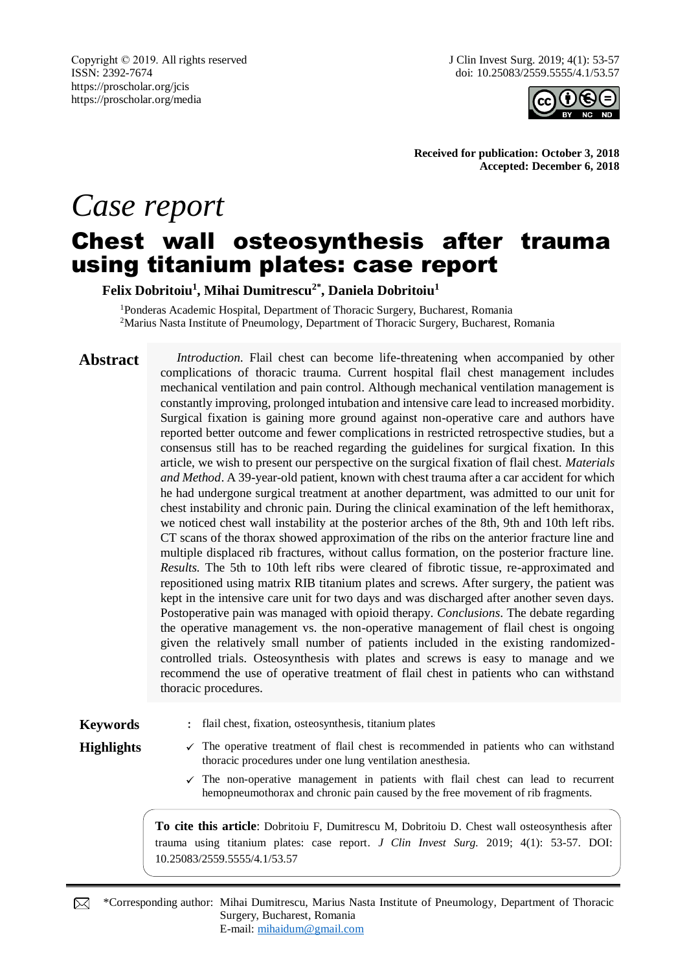Copyright © 2019. All rights reserved ISSN: 2392-7674 https://proscholar.org/jcis https://proscholar.org/media

J Clin Invest Surg. 2019; 4(1): 53-57 doi: 10.25083/2559.5555/4.1/53.57



**Received for publication: October 3, 2018 Accepted: December 6, 2018**

# *Case report* Chest wall osteosynthesis after trauma using titanium plates: case report

**Felix Dobritoiu<sup>1</sup> , Mihai Dumitrescu2\* , Daniela Dobritoiu<sup>1</sup>**

<sup>1</sup>Ponderas Academic Hospital, Department of Thoracic Surgery, Bucharest, Romania <sup>2</sup>Marius Nasta Institute of Pneumology, Department of Thoracic Surgery, Bucharest, Romania

**Abstract** *Introduction*. Flail chest can become life-threatening when accompanied by other complications of thoracic trauma. Current hospital flail chest management includes mechanical ventilation and pain control. Although mechanical ventilation management is constantly improving, prolonged intubation and intensive care lead to increased morbidity. Surgical fixation is gaining more ground against non-operative care and authors have reported better outcome and fewer complications in restricted retrospective studies, but a consensus still has to be reached regarding the guidelines for surgical fixation. In this article, we wish to present our perspective on the surgical fixation of flail chest. *Materials and Method*. A 39-year-old patient, known with chest trauma after a car accident for which he had undergone surgical treatment at another department, was admitted to our unit for chest instability and chronic pain. During the clinical examination of the left hemithorax, we noticed chest wall instability at the posterior arches of the 8th, 9th and 10th left ribs. CT scans of the thorax showed approximation of the ribs on the anterior fracture line and multiple displaced rib fractures, without callus formation, on the posterior fracture line. *Results.* The 5th to 10th left ribs were cleared of fibrotic tissue, re-approximated and repositioned using matrix RIB titanium plates and screws. After surgery, the patient was kept in the intensive care unit for two days and was discharged after another seven days. Postoperative pain was managed with opioid therapy. *Conclusions*. The debate regarding the operative management vs. the non-operative management of flail chest is ongoing given the relatively small number of patients included in the existing randomizedcontrolled trials. Osteosynthesis with plates and screws is easy to manage and we recommend the use of operative treatment of flail chest in patients who can withstand thoracic procedures.

**Keywords** : flail chest, fixation, osteosynthesis, titanium plates

- Highlights  $\checkmark$  The operative treatment of flail chest is recommended in patients who can withstand thoracic procedures under one lung ventilation anesthesia.
	- $\checkmark$  The non-operative management in patients with flail chest can lead to recurrent hemopneumothorax and chronic pain caused by the free movement of rib fragments.

**To cite this article**: Dobritoiu F, Dumitrescu M, Dobritoiu D. Chest wall osteosynthesis after trauma using titanium plates: case report. *J Clin Invest Surg.* 2019; 4(1): 53-57. DOI: 10.25083/2559.5555/4.1/53.57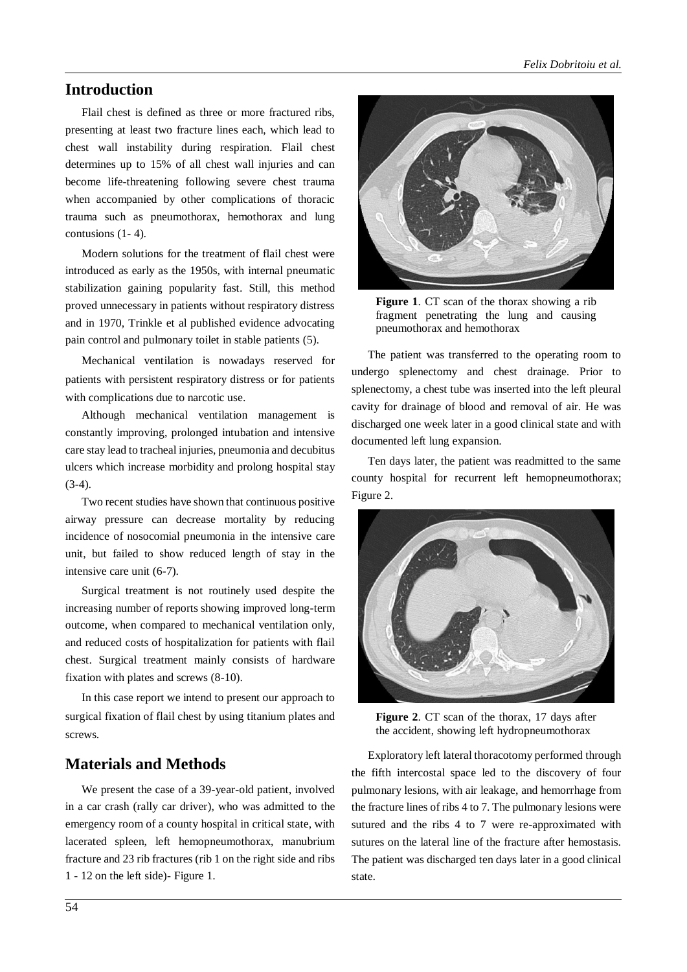# **Introduction**

Flail chest is defined as three or more fractured ribs, presenting at least two fracture lines each, which lead to chest wall instability during respiration. Flail chest determines up to 15% of all chest wall injuries and can become life-threatening following severe chest trauma when accompanied by other complications of thoracic trauma such as pneumothorax, hemothorax and lung contusions (1- 4).

Modern solutions for the treatment of flail chest were introduced as early as the 1950s, with internal pneumatic stabilization gaining popularity fast. Still, this method proved unnecessary in patients without respiratory distress and in 1970, Trinkle et al published evidence advocating pain control and pulmonary toilet in stable patients (5).

Mechanical ventilation is nowadays reserved for patients with persistent respiratory distress or for patients with complications due to narcotic use.

Although mechanical ventilation management is constantly improving, prolonged intubation and intensive care stay lead to tracheal injuries, pneumonia and decubitus ulcers which increase morbidity and prolong hospital stay  $(3-4)$ .

Two recent studies have shown that continuous positive airway pressure can decrease mortality by reducing incidence of nosocomial pneumonia in the intensive care unit, but failed to show reduced length of stay in the intensive care unit (6-7).

Surgical treatment is not routinely used despite the increasing number of reports showing improved long-term outcome, when compared to mechanical ventilation only, and reduced costs of hospitalization for patients with flail chest. Surgical treatment mainly consists of hardware fixation with plates and screws (8-10).

In this case report we intend to present our approach to surgical fixation of flail chest by using titanium plates and screws.

# **Materials and Methods**

We present the case of a 39-year-old patient, involved in a car crash (rally car driver), who was admitted to the emergency room of a county hospital in critical state, with lacerated spleen, left hemopneumothorax, manubrium fracture and 23 rib fractures (rib 1 on the right side and ribs 1 - 12 on the left side)- Figure 1.



**Figure 1**. CT scan of the thorax showing a rib fragment penetrating the lung and causing pneumothorax and hemothorax

The patient was transferred to the operating room to undergo splenectomy and chest drainage. Prior to splenectomy, a chest tube was inserted into the left pleural cavity for drainage of blood and removal of air. He was discharged one week later in a good clinical state and with documented left lung expansion.

Ten days later, the patient was readmitted to the same county hospital for recurrent left hemopneumothorax; Figure 2.



**Figure 2**. CT scan of the thorax, 17 days after the accident, showing left hydropneumothorax

Exploratory left lateral thoracotomy performed through the fifth intercostal space led to the discovery of four pulmonary lesions, with air leakage, and hemorrhage from the fracture lines of ribs 4 to 7. The pulmonary lesions were sutured and the ribs 4 to 7 were re-approximated with sutures on the lateral line of the fracture after hemostasis. The patient was discharged ten days later in a good clinical state.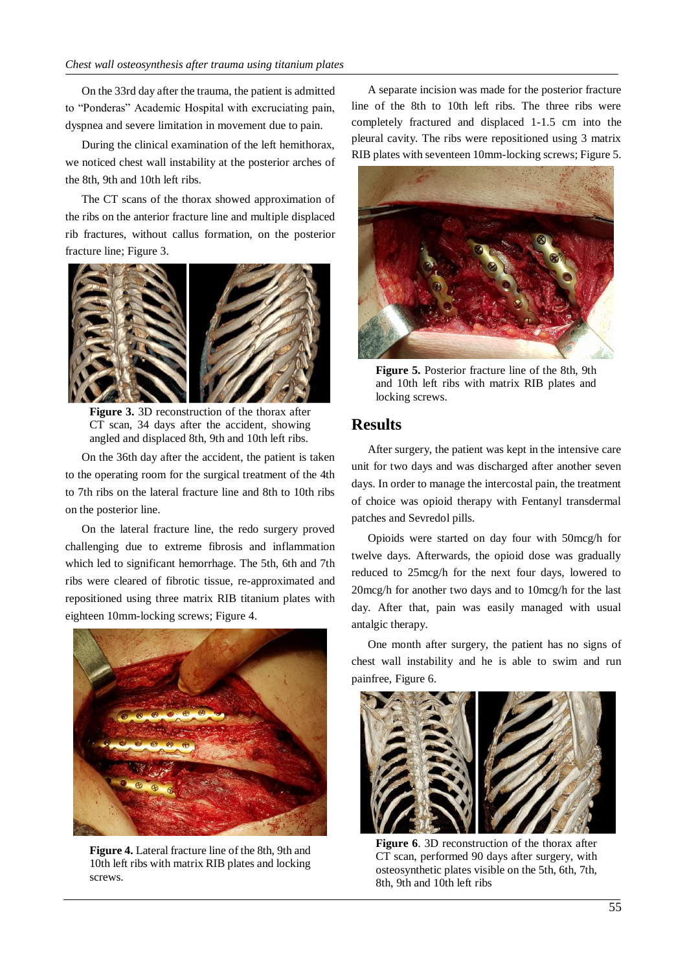On the 33rd day after the trauma, the patient is admitted to "Ponderas" Academic Hospital with excruciating pain, dyspnea and severe limitation in movement due to pain.

During the clinical examination of the left hemithorax, we noticed chest wall instability at the posterior arches of the 8th, 9th and 10th left ribs.

The CT scans of the thorax showed approximation of the ribs on the anterior fracture line and multiple displaced rib fractures, without callus formation, on the posterior fracture line; Figure 3.



**Figure 3.** 3D reconstruction of the thorax after CT scan, 34 days after the accident, showing angled and displaced 8th, 9th and 10th left ribs.

On the 36th day after the accident, the patient is taken to the operating room for the surgical treatment of the 4th to 7th ribs on the lateral fracture line and 8th to 10th ribs on the posterior line.

On the lateral fracture line, the redo surgery proved challenging due to extreme fibrosis and inflammation which led to significant hemorrhage. The 5th, 6th and 7th ribs were cleared of fibrotic tissue, re-approximated and repositioned using three matrix RIB titanium plates with eighteen 10mm-locking screws; Figure 4.



**Figure 4.** Lateral fracture line of the 8th, 9th and 10th left ribs with matrix RIB plates and locking screws.

A separate incision was made for the posterior fracture line of the 8th to 10th left ribs. The three ribs were completely fractured and displaced 1-1.5 cm into the pleural cavity. The ribs were repositioned using 3 matrix RIB plates with seventeen 10mm-locking screws; Figure 5.



**Figure 5.** Posterior fracture line of the 8th, 9th and 10th left ribs with matrix RIB plates and locking screws.

#### **Results**

After surgery, the patient was kept in the intensive care unit for two days and was discharged after another seven days. In order to manage the intercostal pain, the treatment of choice was opioid therapy with Fentanyl transdermal patches and Sevredol pills.

Opioids were started on day four with 50mcg/h for twelve days. Afterwards, the opioid dose was gradually reduced to 25mcg/h for the next four days, lowered to 20mcg/h for another two days and to 10mcg/h for the last day. After that, pain was easily managed with usual antalgic therapy.

One month after surgery, the patient has no signs of chest wall instability and he is able to swim and run painfree, Figure 6.



**Figure 6**. 3D reconstruction of the thorax after CT scan, performed 90 days after surgery, with osteosynthetic plates visible on the 5th, 6th, 7th, 8th, 9th and 10th left ribs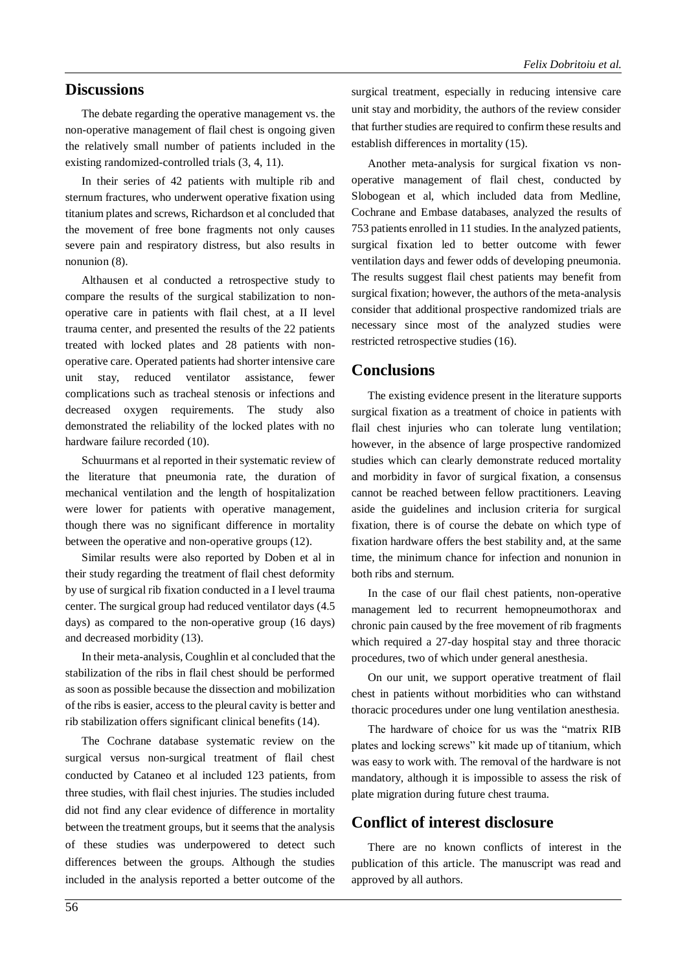#### **Discussions**

The debate regarding the operative management vs. the non-operative management of flail chest is ongoing given the relatively small number of patients included in the existing randomized-controlled trials (3, 4, 11).

In their series of 42 patients with multiple rib and sternum fractures, who underwent operative fixation using titanium plates and screws, Richardson et al concluded that the movement of free bone fragments not only causes severe pain and respiratory distress, but also results in nonunion (8).

Althausen et al conducted a retrospective study to compare the results of the surgical stabilization to nonoperative care in patients with flail chest, at a II level trauma center, and presented the results of the 22 patients treated with locked plates and 28 patients with nonoperative care. Operated patients had shorter intensive care unit stay, reduced ventilator assistance, fewer complications such as tracheal stenosis or infections and decreased oxygen requirements. The study also demonstrated the reliability of the locked plates with no hardware failure recorded (10).

Schuurmans et al reported in their systematic review of the literature that pneumonia rate, the duration of mechanical ventilation and the length of hospitalization were lower for patients with operative management, though there was no significant difference in mortality between the operative and non-operative groups (12).

Similar results were also reported by Doben et al in their study regarding the treatment of flail chest deformity by use of surgical rib fixation conducted in a I level trauma center. The surgical group had reduced ventilator days (4.5 days) as compared to the non-operative group (16 days) and decreased morbidity (13).

In their meta-analysis, Coughlin et al concluded that the stabilization of the ribs in flail chest should be performed as soon as possible because the dissection and mobilization of the ribs is easier, access to the pleural cavity is better and rib stabilization offers significant clinical benefits (14).

The Cochrane database systematic review on the surgical versus non-surgical treatment of flail chest conducted by Cataneo et al included 123 patients, from three studies, with flail chest injuries. The studies included did not find any clear evidence of difference in mortality between the treatment groups, but it seems that the analysis of these studies was underpowered to detect such differences between the groups. Although the studies included in the analysis reported a better outcome of the surgical treatment, especially in reducing intensive care unit stay and morbidity, the authors of the review consider that further studies are required to confirm these results and establish differences in mortality (15).

Another meta-analysis for surgical fixation vs nonoperative management of flail chest, conducted by Slobogean et al, which included data from Medline, Cochrane and Embase databases, analyzed the results of 753 patients enrolled in 11 studies. In the analyzed patients, surgical fixation led to better outcome with fewer ventilation days and fewer odds of developing pneumonia. The results suggest flail chest patients may benefit from surgical fixation; however, the authors of the meta-analysis consider that additional prospective randomized trials are necessary since most of the analyzed studies were restricted retrospective studies (16).

### **Conclusions**

The existing evidence present in the literature supports surgical fixation as a treatment of choice in patients with flail chest injuries who can tolerate lung ventilation; however, in the absence of large prospective randomized studies which can clearly demonstrate reduced mortality and morbidity in favor of surgical fixation, a consensus cannot be reached between fellow practitioners. Leaving aside the guidelines and inclusion criteria for surgical fixation, there is of course the debate on which type of fixation hardware offers the best stability and, at the same time, the minimum chance for infection and nonunion in both ribs and sternum.

In the case of our flail chest patients, non-operative management led to recurrent hemopneumothorax and chronic pain caused by the free movement of rib fragments which required a 27-day hospital stay and three thoracic procedures, two of which under general anesthesia.

On our unit, we support operative treatment of flail chest in patients without morbidities who can withstand thoracic procedures under one lung ventilation anesthesia.

The hardware of choice for us was the "matrix RIB plates and locking screws" kit made up of titanium, which was easy to work with. The removal of the hardware is not mandatory, although it is impossible to assess the risk of plate migration during future chest trauma.

# **Conflict of interest disclosure**

There are no known conflicts of interest in the publication of this article. The manuscript was read and approved by all authors.